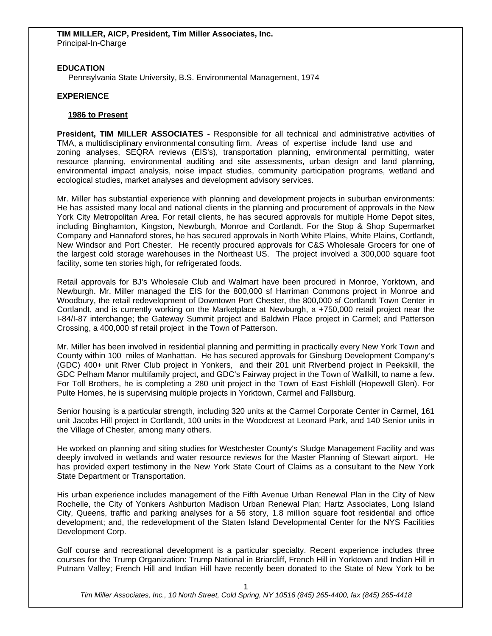# **EDUCATION**

Pennsylvania State University, B.S. Environmental Management, 1974

### **EXPERIENCE**

#### **1986 to Present**

**President, TIM MILLER ASSOCIATES -** Responsible for all technical and administrative activities of TMA, a multidisciplinary environmental consulting firm. Areas of expertise include land use and zoning analyses, SEQRA reviews (EIS's), transportation planning, environmental permitting, water resource planning, environmental auditing and site assessments, urban design and land planning, environmental impact analysis, noise impact studies, community participation programs, wetland and ecological studies, market analyses and development advisory services.

Mr. Miller has substantial experience with planning and development projects in suburban environments: He has assisted many local and national clients in the planning and procurement of approvals in the New York City Metropolitan Area. For retail clients, he has secured approvals for multiple Home Depot sites, including Binghamton, Kingston, Newburgh, Monroe and Cortlandt. For the Stop & Shop Supermarket Company and Hannaford stores, he has secured approvals in North White Plains, White Plains, Cortlandt, New Windsor and Port Chester. He recently procured approvals for C&S Wholesale Grocers for one of the largest cold storage warehouses in the Northeast US. The project involved a 300,000 square foot facility, some ten stories high, for refrigerated foods.

Retail approvals for BJ's Wholesale Club and Walmart have been procured in Monroe, Yorktown, and Newburgh. Mr. Miller managed the EIS for the 800,000 sf Harriman Commons project in Monroe and Woodbury, the retail redevelopment of Downtown Port Chester, the 800,000 sf Cortlandt Town Center in Cortlandt, and is currently working on the Marketplace at Newburgh, a +750,000 retail project near the I-84/I-87 interchange; the Gateway Summit project and Baldwin Place project in Carmel; and Patterson Crossing, a 400,000 sf retail project in the Town of Patterson.

Mr. Miller has been involved in residential planning and permitting in practically every New York Town and County within 100 miles of Manhattan. He has secured approvals for Ginsburg Development Company's (GDC) 400+ unit River Club project in Yonkers, and their 201 unit Riverbend project in Peekskill, the GDC Pelham Manor multifamily project, and GDC's Fairway project in the Town of Wallkill, to name a few. For Toll Brothers, he is completing a 280 unit project in the Town of East Fishkill (Hopewell Glen). For Pulte Homes, he is supervising multiple projects in Yorktown, Carmel and Fallsburg.

Senior housing is a particular strength, including 320 units at the Carmel Corporate Center in Carmel, 161 unit Jacobs Hill project in Cortlandt, 100 units in the Woodcrest at Leonard Park, and 140 Senior units in the Village of Chester, among many others.

He worked on planning and siting studies for Westchester County's Sludge Management Facility and was deeply involved in wetlands and water resource reviews for the Master Planning of Stewart airport. He has provided expert testimony in the New York State Court of Claims as a consultant to the New York State Department or Transportation.

His urban experience includes management of the Fifth Avenue Urban Renewal Plan in the City of New Rochelle, the City of Yonkers Ashburton Madison Urban Renewal Plan; Hartz Associates, Long Island City, Queens, traffic and parking analyses for a 56 story, 1.8 million square foot residential and office development; and, the redevelopment of the Staten Island Developmental Center for the NYS Facilities Development Corp.

Golf course and recreational development is a particular specialty. Recent experience includes three courses for the Trump Organization: Trump National in Briarcliff, French Hill in Yorktown and Indian Hill in Putnam Valley; French Hill and Indian Hill have recently been donated to the State of New York to be

*Tim Miller Associates, Inc., 10 North Street, Cold Spring, NY 10516 (845) 265-4400, fax (845) 265-4418*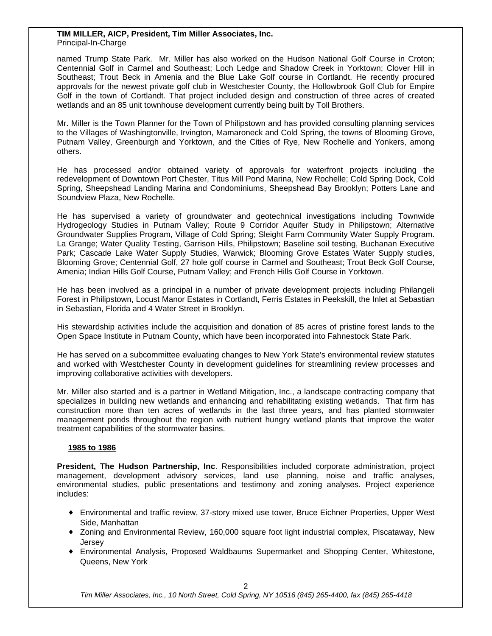#### **TIM MILLER, AICP, President, Tim Miller Associates, Inc.** Principal-In-Charge

named Trump State Park. Mr. Miller has also worked on the Hudson National Golf Course in Croton; Centennial Golf in Carmel and Southeast; Loch Ledge and Shadow Creek in Yorktown; Clover Hill in Southeast; Trout Beck in Amenia and the Blue Lake Golf course in Cortlandt. He recently procured approvals for the newest private golf club in Westchester County, the Hollowbrook Golf Club for Empire Golf in the town of Cortlandt. That project included design and construction of three acres of created wetlands and an 85 unit townhouse development currently being built by Toll Brothers.

Mr. Miller is the Town Planner for the Town of Philipstown and has provided consulting planning services to the Villages of Washingtonville, Irvington, Mamaroneck and Cold Spring, the towns of Blooming Grove, Putnam Valley, Greenburgh and Yorktown, and the Cities of Rye, New Rochelle and Yonkers, among others.

He has processed and/or obtained variety of approvals for waterfront projects including the redevelopment of Downtown Port Chester, Titus Mill Pond Marina, New Rochelle; Cold Spring Dock, Cold Spring, Sheepshead Landing Marina and Condominiums, Sheepshead Bay Brooklyn; Potters Lane and Soundview Plaza, New Rochelle.

He has supervised a variety of groundwater and geotechnical investigations including Townwide Hydrogeology Studies in Putnam Valley; Route 9 Corridor Aquifer Study in Philipstown; Alternative Groundwater Supplies Program, Village of Cold Spring; Sleight Farm Community Water Supply Program. La Grange; Water Quality Testing, Garrison Hills, Philipstown; Baseline soil testing, Buchanan Executive Park; Cascade Lake Water Supply Studies, Warwick; Blooming Grove Estates Water Supply studies, Blooming Grove; Centennial Golf, 27 hole golf course in Carmel and Southeast; Trout Beck Golf Course, Amenia; Indian Hills Golf Course, Putnam Valley; and French Hills Golf Course in Yorktown.

He has been involved as a principal in a number of private development projects including Philangeli Forest in Philipstown, Locust Manor Estates in Cortlandt, Ferris Estates in Peekskill, the Inlet at Sebastian in Sebastian, Florida and 4 Water Street in Brooklyn.

His stewardship activities include the acquisition and donation of 85 acres of pristine forest lands to the Open Space Institute in Putnam County, which have been incorporated into Fahnestock State Park.

He has served on a subcommittee evaluating changes to New York State's environmental review statutes and worked with Westchester County in development guidelines for streamlining review processes and improving collaborative activities with developers.

Mr. Miller also started and is a partner in Wetland Mitigation, Inc., a landscape contracting company that specializes in building new wetlands and enhancing and rehabilitating existing wetlands. That firm has construction more than ten acres of wetlands in the last three years, and has planted stormwater management ponds throughout the region with nutrient hungry wetland plants that improve the water treatment capabilities of the stormwater basins.

#### **1985 to 1986**

**President, The Hudson Partnership, Inc**. Responsibilities included corporate administration, project management, development advisory services, land use planning, noise and traffic analyses, environmental studies, public presentations and testimony and zoning analyses. Project experience includes:

- { Environmental and traffic review, 37-story mixed use tower, Bruce Eichner Properties, Upper West Side, Manhattan
- { Zoning and Environmental Review, 160,000 square foot light industrial complex, Piscataway, New **Jersey**
- { Environmental Analysis, Proposed Waldbaums Supermarket and Shopping Center, Whitestone, Queens, New York

*Tim Miller Associates, Inc., 10 North Street, Cold Spring, NY 10516 (845) 265-4400, fax (845) 265-4418*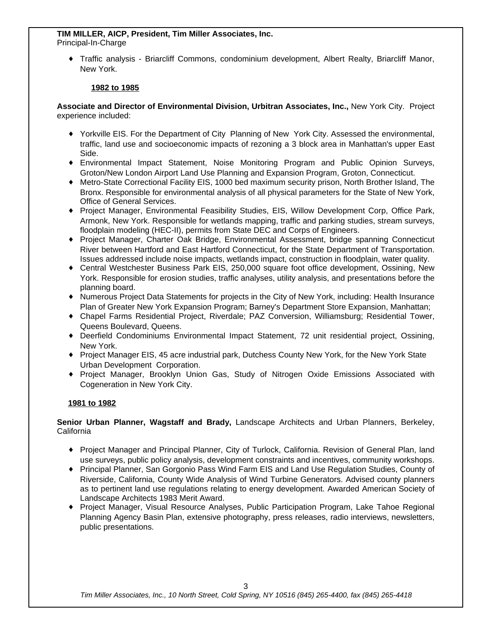#### **TIM MILLER, AICP, President, Tim Miller Associates, Inc.** Principal-In-Charge

{ Traffic analysis - Briarcliff Commons, condominium development, Albert Realty, Briarcliff Manor, New York.

# **1982 to 1985**

### **Associate and Director of Environmental Division, Urbitran Associates, Inc.,** New York City. Project experience included:

- { Yorkville EIS. For the Department of City Planning of New York City. Assessed the environmental, traffic, land use and socioeconomic impacts of rezoning a 3 block area in Manhattan's upper East Side.
- { Environmental Impact Statement, Noise Monitoring Program and Public Opinion Surveys, Groton/New London Airport Land Use Planning and Expansion Program, Groton, Connecticut.
- { Metro-State Correctional Facility EIS, 1000 bed maximum security prison, North Brother Island, The Bronx. Responsible for environmental analysis of all physical parameters for the State of New York, Office of General Services.
- { Project Manager, Environmental Feasibility Studies, EIS, Willow Development Corp, Office Park, Armonk, New York. Responsible for wetlands mapping, traffic and parking studies, stream surveys, floodplain modeling (HEC-II), permits from State DEC and Corps of Engineers.
- { Project Manager, Charter Oak Bridge, Environmental Assessment, bridge spanning Connecticut River between Hartford and East Hartford Connecticut, for the State Department of Transportation. Issues addressed include noise impacts, wetlands impact, construction in floodplain, water quality.
- { Central Westchester Business Park EIS, 250,000 square foot office development, Ossining, New York. Responsible for erosion studies, traffic analyses, utility analysis, and presentations before the planning board.
- { Numerous Project Data Statements for projects in the City of New York, including: Health Insurance Plan of Greater New York Expansion Program; Barney's Department Store Expansion, Manhattan;
- { Chapel Farms Residential Project, Riverdale; PAZ Conversion, Williamsburg; Residential Tower, Queens Boulevard, Queens.
- { Deerfield Condominiums Environmental Impact Statement, 72 unit residential project, Ossining, New York.
- { Project Manager EIS, 45 acre industrial park, Dutchess County New York, for the New York State Urban Development Corporation.
- { Project Manager, Brooklyn Union Gas, Study of Nitrogen Oxide Emissions Associated with Cogeneration in New York City.

# **1981 to 1982**

# **Senior Urban Planner, Wagstaff and Brady,** Landscape Architects and Urban Planners, Berkeley, California

- { Project Manager and Principal Planner, City of Turlock, California. Revision of General Plan, land use surveys, public policy analysis, development constraints and incentives, community workshops.
- { Principal Planner, San Gorgonio Pass Wind Farm EIS and Land Use Regulation Studies, County of Riverside, California, County Wide Analysis of Wind Turbine Generators. Advised county planners as to pertinent land use regulations relating to energy development. Awarded American Society of Landscape Architects 1983 Merit Award.
- { Project Manager, Visual Resource Analyses, Public Participation Program, Lake Tahoe Regional Planning Agency Basin Plan, extensive photography, press releases, radio interviews, newsletters, public presentations.